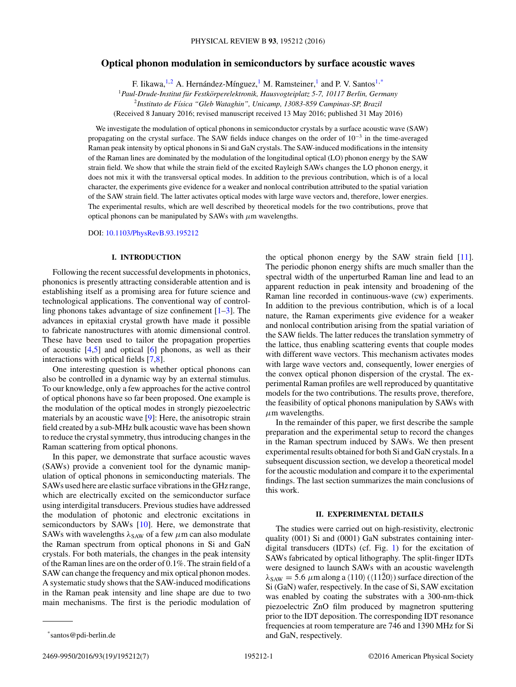# **Optical phonon modulation in semiconductors by surface acoustic waves**

F. Iikawa,<sup>1,2</sup> A. Hernández-Mínguez,<sup>1</sup> M. Ramsteiner,<sup>1</sup> and P. V. Santos<sup>1,\*</sup>

<sup>1</sup>*Paul-Drude-Institut fur Festk ¨ orperelektronik, Hausvogteiplatz 5-7, 10117 Berlin, Germany ¨*

<sup>2</sup>*Instituto de F´ısica "Gleb Wataghin", Unicamp, 13083-859 Campinas-SP, Brazil*

(Received 8 January 2016; revised manuscript received 13 May 2016; published 31 May 2016)

We investigate the modulation of optical phonons in semiconductor crystals by a surface acoustic wave (SAW) propagating on the crystal surface. The SAW fields induce changes on the order of 10−<sup>3</sup> in the time-averaged Raman peak intensity by optical phonons in Si and GaN crystals. The SAW-induced modifications in the intensity of the Raman lines are dominated by the modulation of the longitudinal optical (LO) phonon energy by the SAW strain field. We show that while the strain field of the excited Rayleigh SAWs changes the LO phonon energy, it does not mix it with the transversal optical modes. In addition to the previous contribution, which is of a local character, the experiments give evidence for a weaker and nonlocal contribution attributed to the spatial variation of the SAW strain field. The latter activates optical modes with large wave vectors and, therefore, lower energies. The experimental results, which are well described by theoretical models for the two contributions, prove that optical phonons can be manipulated by SAWs with *μ*m wavelengths.

DOI: [10.1103/PhysRevB.93.195212](http://dx.doi.org/10.1103/PhysRevB.93.195212)

# **I. INTRODUCTION**

Following the recent successful developments in photonics, phononics is presently attracting considerable attention and is establishing itself as a promising area for future science and technological applications. The conventional way of controlling phonons takes advantage of size confinement  $[1-3]$ . The advances in epitaxial crystal growth have made it possible to fabricate nanostructures with atomic dimensional control. These have been used to tailor the propagation properties of acoustic  $[4,5]$  and optical  $[6]$  phonons, as well as their interactions with optical fields [\[7,8\]](#page-6-0).

One interesting question is whether optical phonons can also be controlled in a dynamic way by an external stimulus. To our knowledge, only a few approaches for the active control of optical phonons have so far been proposed. One example is the modulation of the optical modes in strongly piezoelectric materials by an acoustic wave [\[9\]](#page-6-0): Here, the anisotropic strain field created by a sub-MHz bulk acoustic wave has been shown to reduce the crystal symmetry, thus introducing changes in the Raman scattering from optical phonons.

In this paper, we demonstrate that surface acoustic waves (SAWs) provide a convenient tool for the dynamic manipulation of optical phonons in semiconducting materials. The SAWs used here are elastic surface vibrations in the GHz range, which are electrically excited on the semiconductor surface using interdigital transducers. Previous studies have addressed the modulation of photonic and electronic excitations in semiconductors by SAWs [\[10\]](#page-6-0). Here, we demonstrate that SAWs with wavelengths  $\lambda_{SAW}$  of a few  $\mu$ m can also modulate the Raman spectrum from optical phonons in Si and GaN crystals. For both materials, the changes in the peak intensity of the Raman lines are on the order of 0.1%. The strain field of a SAW can change the frequency and mix optical phonon modes. A systematic study shows that the SAW-induced modifications in the Raman peak intensity and line shape are due to two main mechanisms. The first is the periodic modulation of

2469-9950/2016/93(19)/195212(7) 195212-1 ©2016 American Physical Society

the optical phonon energy by the SAW strain field [\[11\]](#page-6-0). The periodic phonon energy shifts are much smaller than the spectral width of the unperturbed Raman line and lead to an apparent reduction in peak intensity and broadening of the Raman line recorded in continuous-wave (cw) experiments. In addition to the previous contribution, which is of a local nature, the Raman experiments give evidence for a weaker and nonlocal contribution arising from the spatial variation of the SAW fields. The latter reduces the translation symmetry of the lattice, thus enabling scattering events that couple modes with different wave vectors. This mechanism activates modes with large wave vectors and, consequently, lower energies of the convex optical phonon dispersion of the crystal. The experimental Raman profiles are well reproduced by quantitative models for the two contributions. The results prove, therefore, the feasibility of optical phonons manipulation by SAWs with *μ*m wavelengths.

In the remainder of this paper, we first describe the sample preparation and the experimental setup to record the changes in the Raman spectrum induced by SAWs. We then present experimental results obtained for both Si and GaN crystals. In a subsequent discussion section, we develop a theoretical model for the acoustic modulation and compare it to the experimental findings. The last section summarizes the main conclusions of this work.

### **II. EXPERIMENTAL DETAILS**

The studies were carried out on high-resistivity, electronic quality (001) Si and (0001) GaN substrates containing interdigital transducers (IDTs) (cf. Fig. [1\)](#page-1-0) for the excitation of SAWs fabricated by optical lithography. The split-finger IDTs were designed to launch SAWs with an acoustic wavelength  $\lambda_{\text{SAW}} = 5.6 \ \mu \text{m}$  along a  $\langle 110 \rangle$  ( $\langle 11\overline{2}0 \rangle$ ) surface direction of the Si (GaN) wafer, respectively. In the case of Si, SAW excitation was enabled by coating the substrates with a 300-nm-thick piezoelectric ZnO film produced by magnetron sputtering prior to the IDT deposition. The corresponding IDT resonance frequencies at room temperature are 746 and 1390 MHz for Si and GaN, respectively.

<sup>\*</sup>santos@pdi-berlin.de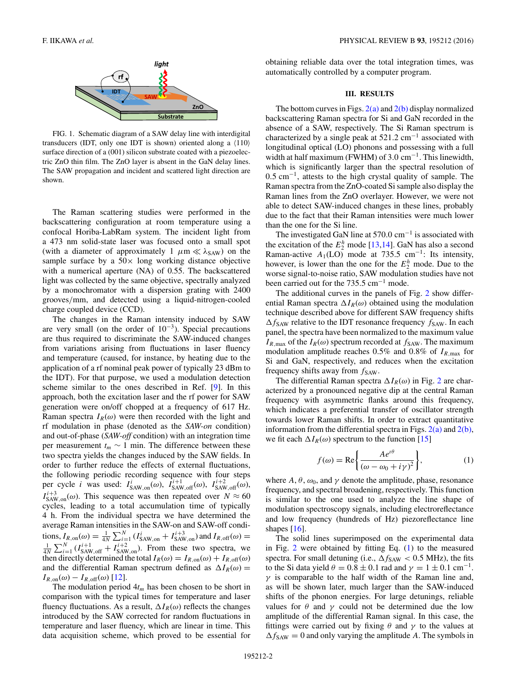<span id="page-1-0"></span>

FIG. 1. Schematic diagram of a SAW delay line with interdigital transducers (IDT, only one IDT is shown) oriented along a  $\langle 110 \rangle$ surface direction of a (001) silicon substrate coated with a piezoelectric ZnO thin film. The ZnO layer is absent in the GaN delay lines. The SAW propagation and incident and scattered light direction are shown.

The Raman scattering studies were performed in the backscattering configuration at room temperature using a confocal Horiba-LabRam system. The incident light from a 473 nm solid-state laser was focused onto a small spot (with a diameter of approximately 1  $\mu$ m  $\ll \lambda_{SAW}$ ) on the sample surface by a  $50\times$  long working distance objective with a numerical aperture (NA) of 0.55. The backscattered light was collected by the same objective, spectrally analyzed by a monochromator with a dispersion grating with 2400 grooves*/*mm, and detected using a liquid-nitrogen-cooled charge coupled device (CCD).

The changes in the Raman intensity induced by SAW are very small (on the order of  $10^{-3}$ ). Special precautions are thus required to discriminate the SAW-induced changes from variations arising from fluctuations in laser fluency and temperature (caused, for instance, by heating due to the application of a rf nominal peak power of typically 23 dBm to the IDT). For that purpose, we used a modulation detection scheme similar to the ones described in Ref. [\[9\]](#page-6-0). In this approach, both the excitation laser and the rf power for SAW generation were on/off chopped at a frequency of 617 Hz. Raman spectra  $I_R(\omega)$  were then recorded with the light and rf modulation in phase (denoted as the *SAW-on* condition) and out-of-phase (*SAW-off* condition) with an integration time per measurement  $t_m \sim 1$  min. The difference between these two spectra yields the changes induced by the SAW fields. In order to further reduce the effects of external fluctuations, the following periodic recording sequence with four steps per cycle *i* was used:  $I_{\text{SAW,on}}^i(\omega)$ ,  $I_{\text{SAW,off}}^{i+1}(\omega)$ ,  $I_{\text{SAW,off}}^{i+2}(\omega)$ ,  $I_{SAW,on}^{i+3}(\omega)$ . This sequence was then repeated over  $N \approx 60$ cycles, leading to a total accumulation time of typically 4 h. From the individual spectra we have determined the average Raman intensities in the SAW-on and SAW-off conditions,  $I_{R,\text{on}}(\omega) = \frac{1}{4N} \sum_{i=1}^{N} (I_{\text{SAW},\text{on}}^{i} + I_{\text{SAW},\text{on}}^{i+3})$  and  $I_{R,\text{off}}(\omega) =$  $\frac{1}{4N}\sum_{i=1}^{N} (I_{\text{SAW,off}}^{i+1} + I_{\text{SAW,on}}^{i+2})$ . From these two spectra, we then directly determined the total  $I_R(\omega) = I_{R,\text{on}}(\omega) + I_{R,\text{off}}(\omega)$ and the differential Raman spectrum defined as  $\Delta I_R(\omega)$  =  $I_{R,\text{on}}(\omega) - I_{R,\text{off}}(\omega)$  [\[12\]](#page-6-0).

The modulation period  $4t_m$  has been chosen to be short in comparison with the typical times for temperature and laser fluency fluctuations. As a result,  $\Delta I_R(\omega)$  reflects the changes introduced by the SAW corrected for random fluctuations in temperature and laser fluency, which are linear in time. This data acquisition scheme, which proved to be essential for

obtaining reliable data over the total integration times, was automatically controlled by a computer program.

## **III. RESULTS**

The bottom curves in Figs.  $2(a)$  and  $2(b)$  display normalized backscattering Raman spectra for Si and GaN recorded in the absence of a SAW, respectively. The Si Raman spectrum is characterized by a single peak at 521*.*2 cm−<sup>1</sup> associated with longitudinal optical (LO) phonons and possessing with a full width at half maximum (FWHM) of 3.0 cm<sup>-1</sup>. This linewidth, which is significantly larger than the spectral resolution of 0*.*5 cm−1, attests to the high crystal quality of sample. The Raman spectra from the ZnO-coated Si sample also display the Raman lines from the ZnO overlayer. However, we were not able to detect SAW-induced changes in these lines, probably due to the fact that their Raman intensities were much lower than the one for the Si line.

The investigated GaN line at 570*.*0 cm−<sup>1</sup> is associated with the excitation of the  $E_2^h$  mode [\[13,14\]](#page-6-0). GaN has also a second Raman-active  $A_1$ (LO) mode at 735.5 cm<sup>-1</sup>: Its intensity, however, is lower than the one for the  $E_2^h$  mode. Due to the worse signal-to-noise ratio, SAW modulation studies have not been carried out for the 735.5 cm−<sup>1</sup> mode.

The additional curves in the panels of Fig. [2](#page-2-0) show differential Raman spectra  $\Delta I_R(\omega)$  obtained using the modulation technique described above for different SAW frequency shifts  $\Delta f_{\text{SAW}}$  relative to the IDT resonance frequency  $f_{\text{SAW}}$ . In each panel, the spectra have been normalized to the maximum value  $I_{R,\text{max}}$  of the  $I_R(\omega)$  spectrum recorded at  $f_{SAW}$ . The maximum modulation amplitude reaches 0*.*5% and 0*.*8% of *IR,*max for Si and GaN, respectively, and reduces when the excitation frequency shifts away from  $f_{SAW}$ .

The differential Raman spectra  $\Delta I_R(\omega)$  in Fig. [2](#page-2-0) are characterized by a pronounced negative dip at the central Raman frequency with asymmetric flanks around this frequency, which indicates a preferential transfer of oscillator strength towards lower Raman shifts. In order to extract quantitative information from the differential spectra in Figs.  $2(a)$  and  $2(b)$ , we fit each  $\Delta I_R(\omega)$  spectrum to the function [\[15\]](#page-6-0)

$$
f(\omega) = \text{Re}\left\{\frac{Ae^{i\theta}}{(\omega - \omega_0 + i\gamma)^2}\right\},\tag{1}
$$

where  $A, \theta, \omega_0$ , and  $\gamma$  denote the amplitude, phase, resonance frequency, and spectral broadening, respectively. This function is similar to the one used to analyze the line shape of modulation spectroscopy signals, including electroreflectance and low frequency (hundreds of Hz) piezoreflectance line shapes  $[16]$ .

The solid lines superimposed on the experimental data in Fig.  $2$  were obtained by fitting Eq.  $(1)$  to the measured spectra. For small detuning (i.e.,  $\Delta f_{SAW} < 0.5$  MHz), the fits to the Si data yield  $\theta = 0.8 \pm 0.1$  rad and  $\gamma = 1 \pm 0.1$  cm<sup>-1</sup>. *γ* is comparable to the half width of the Raman line and, as will be shown later, much larger than the SAW-induced shifts of the phonon energies. For large detunings, reliable values for  $\theta$  and  $\gamma$  could not be determined due the low amplitude of the differential Raman signal. In this case, the fittings were carried out by fixing  $\theta$  and  $\gamma$  to the values at  $\Delta f_{SAW} = 0$  and only varying the amplitude *A*. The symbols in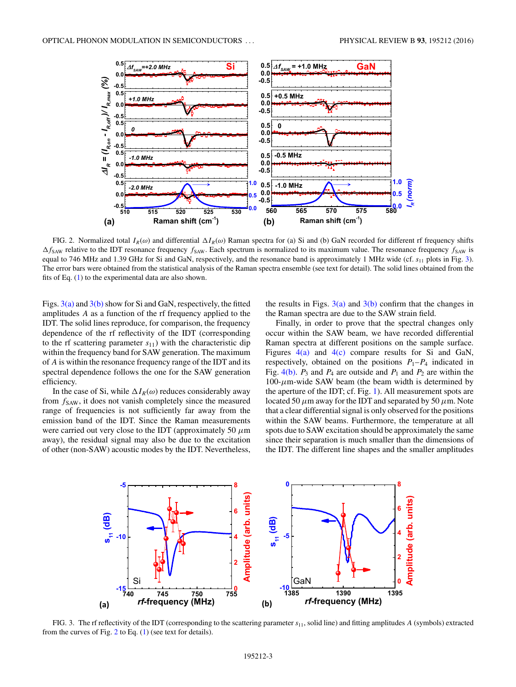<span id="page-2-0"></span>

FIG. 2. Normalized total  $I_R(\omega)$  and differential  $\Delta I_R(\omega)$  Raman spectra for (a) Si and (b) GaN recorded for different rf frequency shifts  $\Delta f_{\text{SAW}}$  relative to the IDT resonance frequency  $f_{\text{SAW}}$ . Each spectrum is normalized to its maximum value. The resonance frequency  $f_{\text{SAW}}$  is equal to 746 MHz and 1.39 GHz for Si and GaN, respectively, and the resonance band is approximately 1 MHz wide (cf.  $s_{11}$  plots in Fig. 3). The error bars were obtained from the statistical analysis of the Raman spectra ensemble (see text for detail). The solid lines obtained from the fits of Eq. [\(1\)](#page-1-0) to the experimental data are also shown.

Figs.  $3(a)$  and  $3(b)$  show for Si and GaN, respectively, the fitted amplitudes *A* as a function of the rf frequency applied to the IDT. The solid lines reproduce, for comparison, the frequency dependence of the rf reflectivity of the IDT (corresponding to the rf scattering parameter  $s_{11}$ ) with the characteristic dip within the frequency band for SAW generation. The maximum of *A* is within the resonance frequency range of the IDT and its spectral dependence follows the one for the SAW generation efficiency.

In the case of Si, while  $\Delta I_R(\omega)$  reduces considerably away from  $f_{SAW}$ , it does not vanish completely since the measured range of frequencies is not sufficiently far away from the emission band of the IDT. Since the Raman measurements were carried out very close to the IDT (approximately 50 *μ*m away), the residual signal may also be due to the excitation of other (non-SAW) acoustic modes by the IDT. Nevertheless, the results in Figs.  $3(a)$  and  $3(b)$  confirm that the changes in the Raman spectra are due to the SAW strain field.

Finally, in order to prove that the spectral changes only occur within the SAW beam, we have recorded differential Raman spectra at different positions on the sample surface. Figures  $4(a)$  and  $4(c)$  compare results for Si and GaN, respectively, obtained on the positions  $P_1-P_4$  indicated in Fig.  $4(b)$ .  $P_3$  and  $P_4$  are outside and  $P_1$  and  $P_2$  are within the  $100$ - $\mu$ m-wide SAW beam (the beam width is determined by the aperture of the IDT; cf. Fig. [1\)](#page-1-0). All measurement spots are located 50 *μ*m away for the IDT and separated by 50 *μ*m. Note that a clear differential signal is only observed for the positions within the SAW beams. Furthermore, the temperature at all spots due to SAW excitation should be approximately the same since their separation is much smaller than the dimensions of the IDT. The different line shapes and the smaller amplitudes



FIG. 3. The rf reflectivity of the IDT (corresponding to the scattering parameter *s*11, solid line) and fitting amplitudes *A* (symbols) extracted from the curves of Fig. 2 to Eq. [\(1\)](#page-1-0) (see text for details).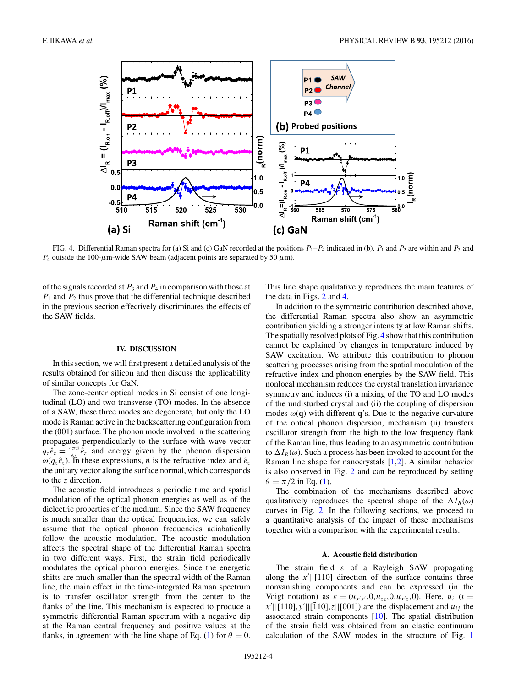<span id="page-3-0"></span>

FIG. 4. Differential Raman spectra for (a) Si and (c) GaN recorded at the positions  $P_1-P_4$  indicated in (b).  $P_1$  and  $P_2$  are within and  $P_3$  and *P*<sub>4</sub> outside the 100- $\mu$ m-wide SAW beam (adjacent points are separated by 50  $\mu$ m).

of the signals recorded at *P*<sup>3</sup> and *P*<sup>4</sup> in comparison with those at  $P_1$  and  $P_2$  thus prove that the differential technique described in the previous section effectively discriminates the effects of the SAW fields.

### **IV. DISCUSSION**

In this section, we will first present a detailed analysis of the results obtained for silicon and then discuss the applicability of similar concepts for GaN.

The zone-center optical modes in Si consist of one longitudinal (LO) and two transverse (TO) modes. In the absence of a SAW, these three modes are degenerate, but only the LO mode is Raman active in the backscattering configuration from the (001) surface. The phonon mode involved in the scattering propagates perpendicularly to the surface with wave vector  $q_z \hat{e}_z = \frac{4\pi \tilde{n}}{\lambda_L} \tilde{e}_z$  and energy given by the phonon dispersion  $ω(q_z e_z)$ . In these expressions,  $\tilde{n}$  is the refractive index and  $\hat{e}_z$ the unitary vector along the surface normal, which corresponds to the *z* direction.

The acoustic field introduces a periodic time and spatial modulation of the optical phonon energies as well as of the dielectric properties of the medium. Since the SAW frequency is much smaller than the optical frequencies, we can safely assume that the optical phonon frequencies adiabatically follow the acoustic modulation. The acoustic modulation affects the spectral shape of the differential Raman spectra in two different ways. First, the strain field periodically modulates the optical phonon energies. Since the energetic shifts are much smaller than the spectral width of the Raman line, the main effect in the time-integrated Raman spectrum is to transfer oscillator strength from the center to the flanks of the line. This mechanism is expected to produce a symmetric differential Raman spectrum with a negative dip at the Raman central frequency and positive values at the flanks, in agreement with the line shape of Eq. [\(1\)](#page-1-0) for  $\theta = 0$ .

This line shape qualitatively reproduces the main features of the data in Figs. [2](#page-2-0) and 4.

In addition to the symmetric contribution described above, the differential Raman spectra also show an asymmetric contribution yielding a stronger intensity at low Raman shifts. The spatially resolved plots of Fig. 4 show that this contribution cannot be explained by changes in temperature induced by SAW excitation. We attribute this contribution to phonon scattering processes arising from the spatial modulation of the refractive index and phonon energies by the SAW field. This nonlocal mechanism reduces the crystal translation invariance symmetry and induces (i) a mixing of the TO and LO modes of the undisturbed crystal and (ii) the coupling of dispersion modes  $\omega(\mathbf{q})$  with different **q**'s. Due to the negative curvature of the optical phonon dispersion, mechanism (ii) transfers oscillator strength from the high to the low frequency flank of the Raman line, thus leading to an asymmetric contribution to  $\Delta I_R(\omega)$ . Such a process has been invoked to account for the Raman line shape for nanocrystals [\[1,2\]](#page-6-0). A similar behavior is also observed in Fig. [2](#page-2-0) and can be reproduced by setting  $\theta = \pi/2$  in Eq. [\(1\)](#page-1-0).

The combination of the mechanisms described above qualitatively reproduces the spectral shape of the  $\Delta I_R(\omega)$ curves in Fig. [2.](#page-2-0) In the following sections, we proceed to a quantitative analysis of the impact of these mechanisms together with a comparison with the experimental results.

## **A. Acoustic field distribution**

The strain field *ε* of a Rayleigh SAW propagating along the  $x'$ ||[110] direction of the surface contains three nonvanishing components and can be expressed (in the Voigt notation) as  $\varepsilon = (u_{x|x'}, 0, u_{zz}, 0, u_{x/z}, 0)$ . Here,  $u_i$  (*i* =  $|x'| | [110], y' | | [110], z | | [001]$  are the displacement and *u<sub>ij</sub>* the associated strain components [\[10\]](#page-6-0). The spatial distribution of the strain field was obtained from an elastic continuum calculation of the SAW modes in the structure of Fig. [1](#page-1-0)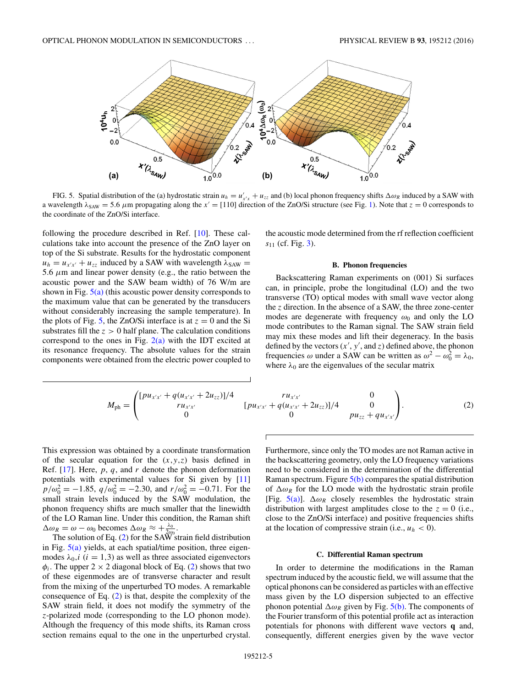<span id="page-4-0"></span>

FIG. 5. Spatial distribution of the (a) hydrostatic strain  $u_h = u'_{x'x} + u_{zz}$  and (b) local phonon frequency shifts  $\Delta \omega_R$  induced by a SAW with a wavelength  $\lambda_{SAW} = 5.6 \mu$ m propagating along the  $x' = [110]$  direction of the ZnO/Si structure (see Fig. [1\)](#page-1-0). Note that  $z = 0$  corresponds to the coordinate of the ZnO/Si interface.

following the procedure described in Ref. [\[10\]](#page-6-0). These calculations take into account the presence of the ZnO layer on top of the Si substrate. Results for the hydrostatic component  $u_h = u_{x'x'} + u_{zz}$  induced by a SAW with wavelength  $\lambda_{SAW} =$ 5*.*6 *μ*m and linear power density (e.g., the ratio between the acoustic power and the SAW beam width) of 76 W/m are shown in Fig.  $5(a)$  (this acoustic power density corresponds to the maximum value that can be generated by the transducers without considerably increasing the sample temperature). In the plots of Fig. 5, the ZnO/Si interface is at  $z = 0$  and the Si substrates fill the  $z > 0$  half plane. The calculation conditions correspond to the ones in Fig.  $2(a)$  with the IDT excited at its resonance frequency. The absolute values for the strain components were obtained from the electric power coupled to the acoustic mode determined from the rf reflection coefficient *s*<sup>11</sup> (cf. Fig. [3\)](#page-2-0).

#### **B. Phonon frequencies**

Backscattering Raman experiments on (001) Si surfaces can, in principle, probe the longitudinal (LO) and the two transverse (TO) optical modes with small wave vector along the *z* direction. In the absence of a SAW, the three zone-center modes are degenerate with frequency  $\omega_0$  and only the LO mode contributes to the Raman signal. The SAW strain field may mix these modes and lift their degeneracy. In the basis defined by the vectors  $(x', y',$  and  $z)$  defined above, the phonon frequencies  $\omega$  under a SAW can be written as  $\omega^2 - \omega_0^2 = \lambda_0$ , where  $\lambda_0$  are the eigenvalues of the secular matrix

$$
M_{\rm ph} = \begin{pmatrix} [pu_{x'x'} + q(u_{x'x'} + 2u_{zz})]/4 & ru_{x'x'} & 0\\ ru_{x'x'} & [pu_{x'x'} + q(u_{x'x'} + 2u_{zz})]/4 & 0\\ 0 & 0 & pu_{zz} + qu_{x'x'} \end{pmatrix}.
$$
 (2)

This expression was obtained by a coordinate transformation of the secular equation for the  $(x, y, z)$  basis defined in Ref. [\[17\]](#page-6-0). Here, *p*, *q*, and *r* denote the phonon deformation potentials with experimental values for Si given by [\[11\]](#page-6-0)  $p/\omega_0^2 = -1.85$ ,  $q/\omega_0^2 = -2.30$ , and  $r/\omega_0^2 = -0.71$ . For the small strain levels induced by the SAW modulation, the phonon frequency shifts are much smaller that the linewidth of the LO Raman line. Under this condition, the Raman shift  $\Delta \omega_R = \omega - \omega_0$  becomes  $\Delta \omega_R \approx +\frac{\lambda_0}{2\omega_0}$ .

The solution of Eq.  $(2)$  for the SAW strain field distribution in Fig.  $5(a)$  yields, at each spatial/time position, three eigenmodes  $\lambda_0$ , *i* (*i* = 1,3) as well as three associated eigenvectors  $\phi_i$ . The upper 2  $\times$  2 diagonal block of Eq. (2) shows that two of these eigenmodes are of transverse character and result from the mixing of the unperturbed TO modes. A remarkable consequence of Eq. (2) is that, despite the complexity of the SAW strain field, it does not modify the symmetry of the *z*-polarized mode (corresponding to the LO phonon mode). Although the frequency of this mode shifts, its Raman cross section remains equal to the one in the unperturbed crystal. Furthermore, since only the TO modes are not Raman active in the backscattering geometry, only the LO frequency variations need to be considered in the determination of the differential Raman spectrum. Figure 5(b) compares the spatial distribution of  $\Delta \omega_R$  for the LO mode with the hydrostatic strain profile [Fig.  $5(a)$ ].  $\Delta \omega_R$  closely resembles the hydrostatic strain distribution with largest amplitudes close to the  $z = 0$  (i.e., close to the ZnO/Si interface) and positive frequencies shifts at the location of compressive strain (i.e.,  $u_h < 0$ ).

### **C. Differential Raman spectrum**

In order to determine the modifications in the Raman spectrum induced by the acoustic field, we will assume that the optical phonons can be considered as particles with an effective mass given by the LO dispersion subjected to an effective phonon potential  $\Delta \omega_R$  given by Fig. 5(b). The components of the Fourier transform of this potential profile act as interaction potentials for phonons with different wave vectors **q** and, consequently, different energies given by the wave vector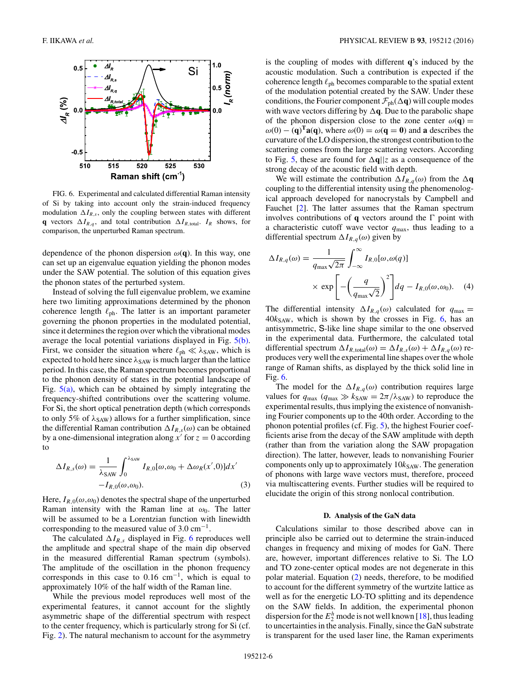

FIG. 6. Experimental and calculated differential Raman intensity of Si by taking into account only the strain-induced frequency modulation  $\Delta I_{R,s}$ , only the coupling between states with different **q** vectors  $\Delta I_{R,q}$ , and total contribution  $\Delta I_{R,\text{total}}$ .  $I_R$  shows, for comparison, the unperturbed Raman spectrum.

dependence of the phonon dispersion  $\omega(\mathbf{q})$ . In this way, one can set up an eigenvalue equation yielding the phonon modes under the SAW potential. The solution of this equation gives the phonon states of the perturbed system.

Instead of solving the full eigenvalue problem, we examine here two limiting approximations determined by the phonon coherence length  $\ell_{ph}$ . The latter is an important parameter governing the phonon properties in the modulated potential, since it determines the region over which the vibrational modes average the local potential variations displayed in Fig. [5\(b\).](#page-4-0) First, we consider the situation where  $\ell_{ph} \ll \lambda_{SAW}$ , which is expected to hold here since  $λ_{SAW}$  is much larger than the lattice period. In this case, the Raman spectrum becomes proportional to the phonon density of states in the potential landscape of Fig.  $5(a)$ , which can be obtained by simply integrating the frequency-shifted contributions over the scattering volume. For Si, the short optical penetration depth (which corresponds to only 5% of  $\lambda_{SAW}$ ) allows for a further simplification, since the differential Raman contribution  $\Delta I_{R,s}(\omega)$  can be obtained by a one-dimensional integration along  $x'$  for  $z = 0$  according to

$$
\Delta I_{R,s}(\omega) = \frac{1}{\lambda_{\text{SAW}}} \int_0^{\lambda_{\text{SAW}}} I_{R,0}[\omega, \omega_0 + \Delta \omega_R(x', 0)] dx' - I_{R,0}(\omega, \omega_0).
$$
 (3)

Here,  $I_{R,0}(\omega,\omega_0)$  denotes the spectral shape of the unperturbed Raman intensity with the Raman line at  $\omega_0$ . The latter will be assumed to be a Lorentzian function with linewidth corresponding to the measured value of  $3.0 \text{ cm}^{-1}$ .

The calculated  $\Delta I_{R,s}$  displayed in Fig. 6 reproduces well the amplitude and spectral shape of the main dip observed in the measured differential Raman spectrum (symbols). The amplitude of the oscillation in the phonon frequency corresponds in this case to 0.16 cm−1, which is equal to approximately 10% of the half width of the Raman line.

While the previous model reproduces well most of the experimental features, it cannot account for the slightly asymmetric shape of the differential spectrum with respect to the center frequency, which is particularly strong for Si (cf. Fig. [2\)](#page-2-0). The natural mechanism to account for the asymmetry

is the coupling of modes with different **q**'s induced by the acoustic modulation. Such a contribution is expected if the coherence length  $\ell_{ph}$  becomes comparable to the spatial extent of the modulation potential created by the SAW. Under these conditions, the Fourier component  $\mathcal{F}_{ph}(\Delta q)$  will couple modes with wave vectors differing by  $\Delta q$ . Due to the parabolic shape of the phonon dispersion close to the zone center  $\omega(\mathbf{q}) =$  $\omega(0) - (\mathbf{q})^T \mathbf{a}(\mathbf{q})$ , where  $\omega(0) = \omega(\mathbf{q} = 0)$  and **a** describes the curvature of the LO dispersion, the strongest contribution to the scattering comes from the large scattering vectors. According to Fig. [5,](#page-4-0) these are found for  $\Delta q||z$  as a consequence of the strong decay of the acoustic field with depth.

We will estimate the contribution  $\Delta I_{R,q}(\omega)$  from the  $\Delta q$ coupling to the differential intensity using the phenomenological approach developed for nanocrystals by Campbell and Fauchet [\[2\]](#page-6-0). The latter assumes that the Raman spectrum involves contributions of  $q$  vectors around the  $\Gamma$  point with a characteristic cutoff wave vector *q*max, thus leading to a differential spectrum  $\Delta I_{R,q}(\omega)$  given by

$$
\Delta I_{R,q}(\omega) = \frac{1}{q_{\text{max}}\sqrt{2\pi}} \int_{-\infty}^{\infty} I_{R,0}[\omega,\omega(q)]
$$

$$
\times \exp\left[-\left(\frac{q}{q_{\text{max}}\sqrt{2}}\right)^2\right] dq - I_{R,0}(\omega,\omega_0). \quad (4)
$$

The differential intensity  $\Delta I_{R,q}(\omega)$  calculated for  $q_{\text{max}} =$  $40k<sub>SAW</sub>$ , which is shown by the crosses in Fig.  $6$ , has an antisymmetric, S-like line shape similar to the one observed in the experimental data. Furthermore, the calculated total differential spectrum  $\Delta I_{R,\text{total}}(\omega) = \Delta I_{R,s}(\omega) + \Delta I_{R,q}(\omega)$  reproduces very well the experimental line shapes over the whole range of Raman shifts, as displayed by the thick solid line in Fig. 6.

The model for the  $\Delta I_{R,q}(\omega)$  contribution requires large values for  $q_{\text{max}}$  ( $q_{\text{max}} \gg k_{\text{SAW}} = 2\pi/\lambda_{\text{SAW}}$ ) to reproduce the experimental results, thus implying the existence of nonvanishing Fourier components up to the 40th order. According to the phonon potential profiles (cf. Fig. [5\)](#page-4-0), the highest Fourier coefficients arise from the decay of the SAW amplitude with depth (rather than from the variation along the SAW propagation direction). The latter, however, leads to nonvanishing Fourier components only up to approximately  $10k<sub>SAW</sub>$ . The generation of phonons with large wave vectors must, therefore, proceed via multiscattering events. Further studies will be required to elucidate the origin of this strong nonlocal contribution.

#### **D. Analysis of the GaN data**

Calculations similar to those described above can in principle also be carried out to determine the strain-induced changes in frequency and mixing of modes for GaN. There are, however, important differences relative to Si. The LO and TO zone-center optical modes are not degenerate in this polar material. Equation [\(2\)](#page-4-0) needs, therefore, to be modified to account for the different symmetry of the wurtzite lattice as well as for the energetic LO-TO splitting and its dependence on the SAW fields. In addition, the experimental phonon dispersion for the  $E_2^h$  mode is not well known [\[18\]](#page-6-0), thus leading to uncertainties in the analysis. Finally, since the GaN substrate is transparent for the used laser line, the Raman experiments